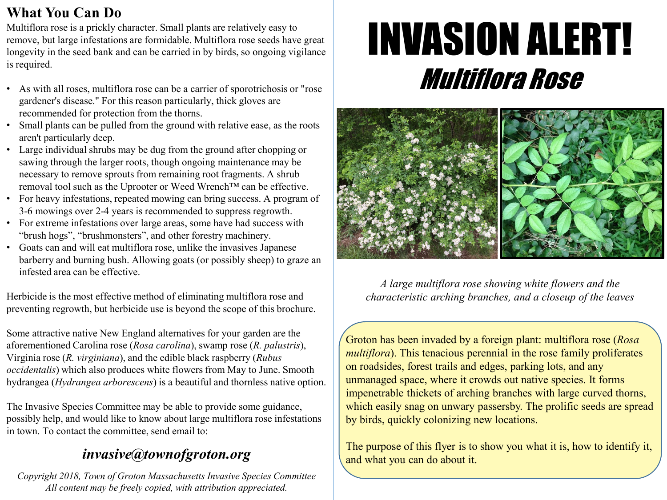## **What You Can Do**

Multiflora rose is a prickly character. Small plants are relatively easy to remove, but large infestations are formidable. Multiflora rose seeds have great longevity in the seed bank and can be carried in by birds, so ongoing vigilance is required.

- As with all roses, multiflora rose can be a carrier of sporotrichosis or "rose gardener's disease." For this reason particularly, thick gloves are recommended for protection from the thorns.
- Small plants can be pulled from the ground with relative ease, as the roots aren't particularly deep.
- Large individual shrubs may be dug from the ground after chopping or sawing through the larger roots, though ongoing maintenance may be necessary to remove sprouts from remaining root fragments. A shrub removal tool such as the Uprooter or Weed Wrench™ can be effective.
- For heavy infestations, repeated mowing can bring success. A program of 3-6 mowings over 2-4 years is recommended to suppress regrowth.
- For extreme infestations over large areas, some have had success with "brush hogs", "brushmonsters", and other forestry machinery.
- Goats can and will eat multiflora rose, unlike the invasives Japanese barberry and burning bush. Allowing goats (or possibly sheep) to graze an infested area can be effective.

Herbicide is the most effective method of eliminating multiflora rose and preventing regrowth, but herbicide use is beyond the scope of this brochure.

Some attractive native New England alternatives for your garden are the aforementioned Carolina rose (*Rosa carolina*), swamp rose (*R. palustris*), Virginia rose (*R. virginiana*), and the edible black raspberry (*Rubus occidentalis*) which also produces white flowers from May to June. Smooth hydrangea (*Hydrangea arborescens*) is a beautiful and thornless hative option.

The Invasive Species Committee may be able to provide some guidance, possibly help, and would like to know about large multiflora rose infestations in town. To contact the committee, send email to:

## *invasive@grotonma.gov*

*Copyright 2018, Town of Groton Massachusetts Invasive Species Committee All content may be freely copied, with attribution appreciated.*

## INVASION ALERT! Multiflora Rose



*A large multiflora rose showing white flowers and the characteristic arching branches, and a closeup of the leaves*

Groton has been invaded by a foreign plant: multiflora rose (*Rosa multiflora*). This tenacious perennial in the rose family proliferates on roadsides, forest trails and edges, parking lots, and any unmanaged space, where it crowds out native species. It forms impenetrable thickets of arching branches with large curved thorns, which easily snag on unwary passersby. The prolific seeds are spread by birds, quickly colonizing new locations.

The purpose of this flyer is to show you what it is, how to identify it, and what you can do about it.